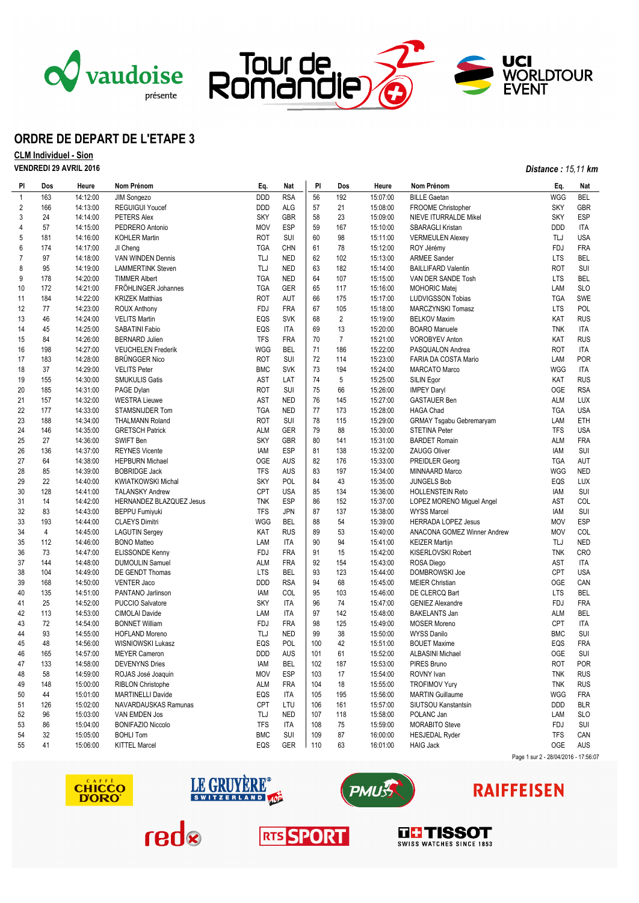



## **ORDRE DE DEPART DE L'ETAPE 3**

## **CLM Individuel - Sion VENDREDI 29 AVRIL 2016** *Distance : 15,11 km*

| PI             | Dos            | Heure    | Nom Prénom                | Eq.        | Nat        | PI  | Dos                     | Heure    | Nom Prénom                      | Eq.        | Nat        |
|----------------|----------------|----------|---------------------------|------------|------------|-----|-------------------------|----------|---------------------------------|------------|------------|
| $\mathbf{1}$   | 163            | 14:12:00 | JIM Songezo               | <b>DDD</b> | <b>RSA</b> | 56  | 192                     | 15:07:00 | <b>BILLE Gaetan</b>             | WGG        | BEL        |
| 2              | 166            | 14:13:00 | <b>REGUIGUI Youcef</b>    | <b>DDD</b> | <b>ALG</b> | 57  | 21                      | 15:08:00 | FROOME Christopher              | <b>SKY</b> | <b>GBR</b> |
| 3              | 24             | 14:14:00 | PETERS Alex               | <b>SKY</b> | <b>GBR</b> | 58  | 23                      | 15:09:00 | NIEVE ITURRALDE Mikel           | <b>SKY</b> | <b>ESP</b> |
| 4              | 57             | 14:15:00 | PEDRERO Antonio           | <b>MOV</b> | <b>ESP</b> | 59  | 167                     | 15:10:00 | SBARAGLI Kristan                | <b>DDD</b> | <b>ITA</b> |
| 5              | 181            | 14:16:00 | <b>KOHLER Martin</b>      | <b>ROT</b> | SUI        | 60  | 98                      | 15:11:00 | <b>VERMEULEN Alexey</b>         | TLJ        | <b>USA</b> |
| 6              | 174            | 14:17:00 | JI Cheng                  | <b>TGA</b> | <b>CHN</b> | 61  | 78                      | 15:12:00 | ROY Jérémy                      | <b>FDJ</b> | <b>FRA</b> |
| $\overline{7}$ | 97             | 14:18:00 | VAN WINDEN Dennis         | TLJ        | NED        | 62  | 102                     | 15:13:00 | <b>ARMEE Sander</b>             | <b>LTS</b> | BEL        |
| 8              | 95             | 14:19:00 | <b>LAMMERTINK Steven</b>  | TLJ        | <b>NED</b> | 63  | 182                     | 15:14:00 | <b>BAILLIFARD Valentin</b>      | <b>ROT</b> | <b>SUI</b> |
| 9              | 178            | 14:20:00 | <b>TIMMER Albert</b>      | <b>TGA</b> | <b>NED</b> | 64  | 107                     | 15:15:00 | VAN DER SANDE Tosh              | <b>LTS</b> | <b>BEL</b> |
| 10             | 172            | 14:21:00 | FRÖHLINGER Johannes       | <b>TGA</b> | GER        | 65  | 117                     | 15:16:00 | <b>MOHORIC Matej</b>            | LAM        | <b>SLO</b> |
| 11             | 184            | 14:22:00 | <b>KRIZEK Matthias</b>    | <b>ROT</b> | AUT        | 66  | 175                     | 15:17:00 | LUDVIGSSON Tobias               | <b>TGA</b> | SWE        |
| 12             | 77             | 14:23:00 | <b>ROUX Anthony</b>       | <b>FDJ</b> | <b>FRA</b> | 67  | 105                     | 15:18:00 | MARCZYNSKI Tomasz               | <b>LTS</b> | POL        |
| 13             | 46             | 14:24:00 | <b>VELITS Martin</b>      | EQS        | <b>SVK</b> | 68  | $\overline{\mathbf{c}}$ | 15:19:00 | <b>BELKOV Maxim</b>             | KAT        | <b>RUS</b> |
| 14             | 45             | 14:25:00 | SABATINI Fabio            | EQS        | ITA        | 69  | 13                      | 15:20:00 | <b>BOARO</b> Manuele            | <b>TNK</b> | ITA        |
| 15             | 84             | 14:26:00 | <b>BERNARD Julien</b>     | <b>TFS</b> | <b>FRA</b> | 70  | $\overline{7}$          | 15:21:00 | <b>VOROBYEV Anton</b>           | KAT        | <b>RUS</b> |
| 16             | 198            | 14:27:00 | <b>VEUCHELEN Frederik</b> | <b>WGG</b> | <b>BEL</b> | 71  | 186                     | 15:22:00 | PASQUALON Andrea                | <b>ROT</b> | <b>ITA</b> |
| 17             | 183            | 14:28:00 | <b>BRUNGGER Nico</b>      | <b>ROT</b> | SUI        | 72  | 114                     | 15:23:00 | FARIA DA COSTA Mario            | LAM        | <b>POR</b> |
| 18             | 37             | 14:29:00 | <b>VELITS Peter</b>       | <b>BMC</b> | <b>SVK</b> | 73  | 194                     | 15:24:00 | <b>MARCATO Marco</b>            | WGG        | <b>ITA</b> |
| 19             | 155            | 14:30:00 | <b>SMUKULIS Gatis</b>     | AST        | LAT        | 74  | 5                       | 15:25:00 | SILIN Egor                      | KAT        | <b>RUS</b> |
| 20             | 185            | 14:31:00 | PAGE Dylan                | <b>ROT</b> | SUI        | 75  | 66                      | 15:26:00 | <b>IMPEY Daryl</b>              | <b>OGE</b> | <b>RSA</b> |
| 21             | 157            | 14:32:00 | <b>WESTRA Lieuwe</b>      | AST        | NED        | 76  | 145                     | 15:27:00 | <b>GASTAUER Ben</b>             | <b>ALM</b> | <b>LUX</b> |
| 22             | 177            | 14:33:00 | STAMSNIJDER Tom           | <b>TGA</b> | <b>NED</b> | 77  | 173                     | 15:28:00 | <b>HAGA Chad</b>                | <b>TGA</b> | <b>USA</b> |
| 23             | 188            | 14:34:00 | <b>THALMANN Roland</b>    | <b>ROT</b> | SUI        | 78  | 115                     | 15:29:00 | <b>GRMAY Tsgabu Gebremaryam</b> | LAM        | ETH        |
| 24             | 146            | 14:35:00 | <b>GRETSCH Patrick</b>    | ALM        | GER        | 79  | 88                      | 15:30:00 | <b>STETINA Peter</b>            | <b>TFS</b> | <b>USA</b> |
| 25             | 27             | 14:36:00 | SWIFT Ben                 | <b>SKY</b> | <b>GBR</b> | 80  | 141                     | 15:31:00 | <b>BARDET Romain</b>            | <b>ALM</b> | <b>FRA</b> |
| 26             | 136            | 14:37:00 | <b>REYNES Vicente</b>     | IAM        | <b>ESP</b> | 81  | 138                     | 15:32:00 | <b>ZAUGG Oliver</b>             | IAM        | <b>SUI</b> |
| 27             | 64             | 14:38:00 | <b>HEPBURN Michael</b>    | <b>OGE</b> | AUS        | 82  | 176                     | 15:33:00 | <b>PREIDLER Georg</b>           | <b>TGA</b> | AUT        |
| 28             | 85             | 14:39:00 | <b>BOBRIDGE Jack</b>      | <b>TFS</b> | AUS        | 83  | 197                     | 15:34:00 | MINNAARD Marco                  | WGG        | <b>NED</b> |
| 29             | 22             | 14:40:00 | <b>KWIATKOWSKI Michal</b> | <b>SKY</b> | <b>POL</b> | 84  | 43                      | 15:35:00 | <b>JUNGELS Bob</b>              | EQS        | LUX        |
| 30             | 128            | 14:41:00 | <b>TALANSKY Andrew</b>    | <b>CPT</b> | <b>USA</b> | 85  | 134                     | 15:36:00 | <b>HOLLENSTEIN Reto</b>         | IAM        | <b>SUI</b> |
| 31             | 14             | 14:42:00 | HERNANDEZ BLAZQUEZ Jesus  | <b>TNK</b> | <b>ESP</b> | 86  | 152                     | 15:37:00 | LOPEZ MORENO Miguel Angel       | AST        | COL        |
| 32             | 83             | 14:43:00 | <b>BEPPU Fumiyuki</b>     | <b>TFS</b> | <b>JPN</b> | 87  | 137                     | 15:38:00 | <b>WYSS Marcel</b>              | IAM        | <b>SUI</b> |
| 33             | 193            | 14:44:00 | <b>CLAEYS Dimitri</b>     | WGG        | <b>BEL</b> | 88  | 54                      | 15:39:00 | <b>HERRADA LOPEZ Jesus</b>      | <b>MOV</b> | ESP        |
| 34             | $\overline{4}$ | 14:45:00 | <b>LAGUTIN Sergey</b>     | KAT        | <b>RUS</b> | 89  | 53                      | 15:40:00 | ANACONA GOMEZ Winner Andrew     | <b>MOV</b> | COL        |
| 35             | 112            | 14:46:00 | <b>BONO Matteo</b>        | LAM        | ITA        | 90  | 94                      | 15:41:00 | <b>KEIZER Martijn</b>           | TLJ        | <b>NED</b> |
| 36             | 73             | 14:47:00 | ELISSONDE Kenny           | FDJ        | <b>FRA</b> | 91  | 15                      | 15:42:00 | KISERLOVSKI Robert              | <b>TNK</b> | <b>CRO</b> |
| 37             | 144            | 14:48:00 | <b>DUMOULIN Samuel</b>    | ALM        | <b>FRA</b> | 92  | 154                     | 15:43:00 | ROSA Diego                      | AST        | <b>ITA</b> |
| 38             | 104            | 14:49:00 | DE GENDT Thomas           | <b>LTS</b> | <b>BEL</b> | 93  | 123                     | 15:44:00 | DOMBROWSKI Joe                  | <b>CPT</b> | <b>USA</b> |
| 39             | 168            | 14:50:00 | <b>VENTER Jaco</b>        | <b>DDD</b> | <b>RSA</b> | 94  | 68                      | 15:45:00 | <b>MEIER Christian</b>          | <b>OGE</b> | CAN        |
| 40             | 135            | 14:51:00 | PANTANO Jarlinson         | IAM        | COL        | 95  | 103                     | 15:46:00 | DE CLERCQ Bart                  | <b>LTS</b> | BEL        |
| 41             | 25             | 14:52:00 | PUCCIO Salvatore          | <b>SKY</b> | ITA        | 96  | 74                      | 15:47:00 | <b>GENIEZ Alexandre</b>         | FDJ        | <b>FRA</b> |
| 42             | 113            | 14:53:00 | <b>CIMOLAI Davide</b>     | LAM        | ITA        | 97  | 142                     | 15:48:00 | <b>BAKELANTS Jan</b>            | <b>ALM</b> | <b>BEL</b> |
| 43             | 72             | 14:54:00 | <b>BONNET William</b>     | FDJ        | <b>FRA</b> | 98  | 125                     | 15:49:00 | <b>MOSER Moreno</b>             | <b>CPT</b> | <b>ITA</b> |
| 44             | 93             | 14:55:00 | <b>HOFLAND Moreno</b>     | TLJ        | <b>NED</b> | 99  | 38                      | 15:50:00 | <b>WYSS Danilo</b>              | <b>BMC</b> | <b>SUI</b> |
| 45             | 48             | 14:56:00 | <b>WISNIOWSKI Lukasz</b>  | EQS        | POL        | 100 | 42                      | 15:51:00 | <b>BOUET Maxime</b>             | EQS        | <b>FRA</b> |
| 46             | 165            | 14:57:00 | <b>MEYER Cameron</b>      | <b>DDD</b> | <b>AUS</b> | 101 | 61                      | 15:52:00 | <b>ALBASINI Michael</b>         | <b>OGE</b> | <b>SUI</b> |
| 47             | 133            | 14:58:00 | <b>DEVENYNS Dries</b>     | iam        | BEL        | 102 | 187                     | 15:53:00 | PIRES Bruno                     | ROT        | <b>POR</b> |
| 48             | 58             | 14:59:00 | ROJAS José Joaquin        | <b>MOV</b> | <b>ESP</b> | 103 | 17                      | 15:54:00 | ROVNY Ivan                      | <b>TNK</b> | <b>RUS</b> |
| 49             | 148            | 15:00:00 | <b>RIBLON Christophe</b>  | ALM        | <b>FRA</b> | 104 | 18                      | 15:55:00 | <b>TROFIMOV Yury</b>            | <b>TNK</b> | <b>RUS</b> |
| 50             | 44             | 15:01:00 | <b>MARTINELLI Davide</b>  | EQS        | ITA        | 105 | 195                     | 15:56:00 | <b>MARTIN Guillaume</b>         | WGG        | FRA        |
| 51             | 126            | 15:02:00 | NAVARDAUSKAS Ramunas      | <b>CPT</b> | LTU        | 106 | 161                     | 15:57:00 | SIUTSOU Kanstantsin             | <b>DDD</b> | <b>BLR</b> |
| 52             | 96             | 15:03:00 | VAN EMDEN Jos             | TLJ        | NED        | 107 | 118                     | 15:58:00 | POLANC Jan                      | LAM        | <b>SLO</b> |
| 53             | 86             | 15:04:00 | <b>BONIFAZIO Niccolo</b>  | <b>TFS</b> | ITA        | 108 | 75                      | 15:59:00 | MORABITO Steve                  | FDJ        | SUI        |
| 54             | 32             | 15:05:00 | <b>BOHLI Tom</b>          | <b>BMC</b> | SUI        | 109 | 87                      | 16:00:00 | <b>HESJEDAL Ryder</b>           | <b>TFS</b> | CAN        |
| 55             | 41             | 15:06:00 | <b>KITTEL Marcel</b>      | EQS        | GER        | 110 | 63                      | 16:01:00 | <b>HAIG Jack</b>                | <b>OGE</b> | AUS        |

Page 1 sur 2 - 28/04/2016 - 17:56:07